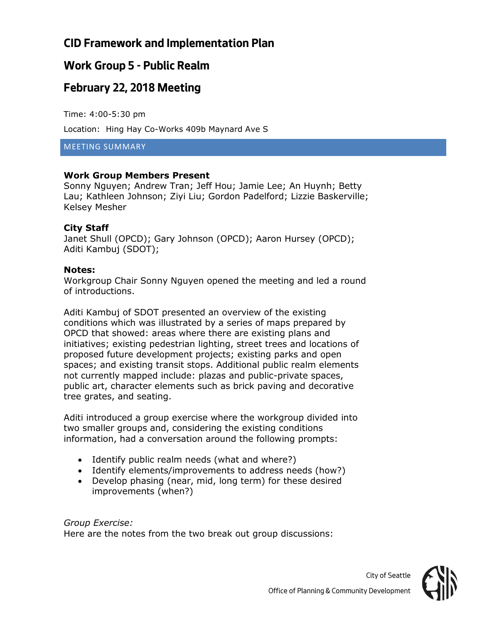# **CID Framework and Implementation Plan**

#### **Work Group 5 - Public Realm**

### **February 22, 2018 Meeting**

Time: 4:00-5:30 pm

Location: Hing Hay Co-Works 409b Maynard Ave S

MEETING SUMMARY

#### **Work Group Members Present**

Sonny Nguyen; Andrew Tran; Jeff Hou; Jamie Lee; An Huynh; Betty Lau; Kathleen Johnson; Ziyi Liu; Gordon Padelford; Lizzie Baskerville; Kelsey Mesher

#### **City Staff**

Janet Shull (OPCD); Gary Johnson (OPCD); Aaron Hursey (OPCD); Aditi Kambuj (SDOT);

#### **Notes:**

Workgroup Chair Sonny Nguyen opened the meeting and led a round of introductions.

Aditi Kambuj of SDOT presented an overview of the existing conditions which was illustrated by a series of maps prepared by OPCD that showed: areas where there are existing plans and initiatives; existing pedestrian lighting, street trees and locations of proposed future development projects; existing parks and open spaces; and existing transit stops. Additional public realm elements not currently mapped include: plazas and public-private spaces, public art, character elements such as brick paving and decorative tree grates, and seating.

Aditi introduced a group exercise where the workgroup divided into two smaller groups and, considering the existing conditions information, had a conversation around the following prompts:

- Identify public realm needs (what and where?)
- Identify elements/improvements to address needs (how?)
- Develop phasing (near, mid, long term) for these desired improvements (when?)

*Group Exercise:* Here are the notes from the two break out group discussions:

*City of Seattle*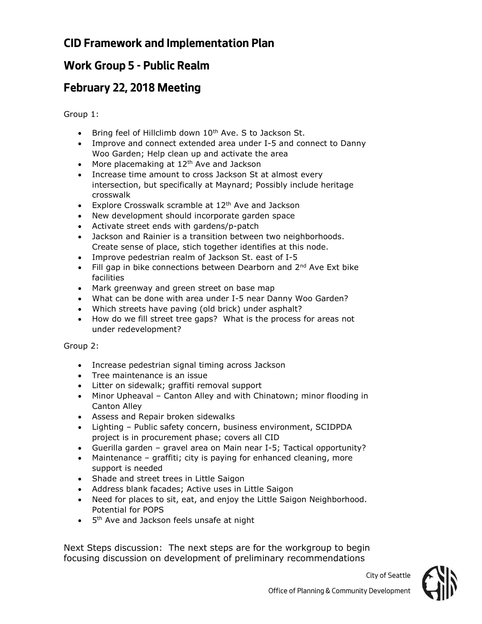# **CID Framework and Implementation Plan**

# **Work Group 5 - Public Realm**

### **February 22, 2018 Meeting**

Group 1:

- Bring feel of Hillclimb down 10<sup>th</sup> Ave. S to Jackson St.
- Improve and connect extended area under I-5 and connect to Danny Woo Garden; Help clean up and activate the area
- More placemaking at  $12<sup>th</sup>$  Ave and Jackson
- Increase time amount to cross Jackson St at almost every intersection, but specifically at Maynard; Possibly include heritage crosswalk
- Explore Crosswalk scramble at 12<sup>th</sup> Ave and Jackson
- New development should incorporate garden space
- Activate street ends with gardens/p-patch
- Jackson and Rainier is a transition between two neighborhoods. Create sense of place, stich together identifies at this node.
- Improve pedestrian realm of Jackson St. east of I-5
- Fill gap in bike connections between Dearborn and  $2^{nd}$  Ave Ext bike facilities
- Mark greenway and green street on base map
- What can be done with area under I-5 near Danny Woo Garden?
- Which streets have paving (old brick) under asphalt?
- How do we fill street tree gaps? What is the process for areas not under redevelopment?

#### Group 2:

- Increase pedestrian signal timing across Jackson
- Tree maintenance is an issue
- Litter on sidewalk; graffiti removal support
- Minor Upheaval Canton Alley and with Chinatown; minor flooding in Canton Alley
- Assess and Repair broken sidewalks
- Lighting Public safety concern, business environment, SCIDPDA project is in procurement phase; covers all CID
- Guerilla garden gravel area on Main near I-5; Tactical opportunity?
- Maintenance graffiti; city is paying for enhanced cleaning, more support is needed
- Shade and street trees in Little Saigon
- Address blank facades; Active uses in Little Saigon
- Need for places to sit, eat, and enjoy the Little Saigon Neighborhood. Potential for POPS
- 5<sup>th</sup> Ave and Jackson feels unsafe at night

Next Steps discussion: The next steps are for the workgroup to begin focusing discussion on development of preliminary recommendations



*City of Seattle*